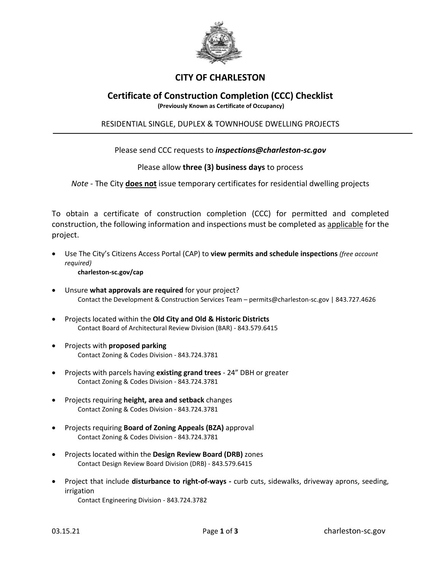

# **CITY OF CHARLESTON**

# **Certificate of Construction Completion (CCC) Checklist**

**(Previously Known as Certificate of Occupancy)**

## RESIDENTIAL SINGLE, DUPLEX & TOWNHOUSE DWELLING PROJECTS

## Please send CCC requests to *inspections@charleston-sc.gov*

### Please allow **three (3) business days** to process

*Note -* The City **does not** issue temporary certificates for residential dwelling projects

To obtain a certificate of construction completion (CCC) for permitted and completed construction, the following information and inspections must be completed as applicable for the project.

- Use The City's Citizens Access Portal (CAP) to **view permits and schedule inspections** *(free account required)*
	- **charleston-sc.gov/cap**
- Unsure **what approvals are required** for your project? Contact the Development & Construction Services Team – permits@charleston-sc.gov | 843.727.4626
- Projects located within the **Old City and Old & Historic Districts** Contact Board of Architectural Review Division (BAR) - 843.579.6415
- Projects with **proposed parking** Contact Zoning & Codes Division - 843.724.3781
- Projects with parcels having **existing grand trees** 24" DBH or greater Contact Zoning & Codes Division - 843.724.3781
- Projects requiring **height, area and setback** changes Contact Zoning & Codes Division - 843.724.3781
- Projects requiring **Board of Zoning Appeals (BZA)** approval Contact Zoning & Codes Division - 843.724.3781
- Projects located within the **Design Review Board (DRB)** zones Contact Design Review Board Division (DRB) - 843.579.6415
- Project that include **disturbance to right-of-ways -** curb cuts, sidewalks, driveway aprons, seeding, irrigation

Contact Engineering Division - 843.724.3782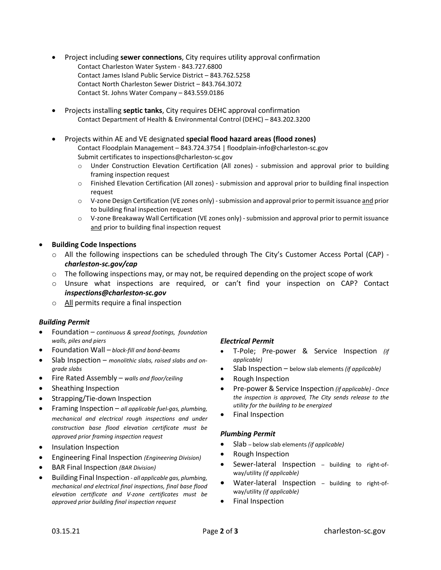- Project including **sewer connections**, City requires utility approval confirmation Contact Charleston Water System - 843.727.6800 Contact James Island Public Service District – 843.762.5258 Contact North Charleston Sewer District – 843.764.3072 Contact St. Johns Water Company – 843.559.0186
- Projects installing **septic tanks**, City requires DEHC approval confirmation Contact Department of Health & Environmental Control (DEHC) – 843.202.3200
- Projects within AE and VE designated **special flood hazard areas (flood zones)** Contact Floodplain Management – 843.724.3754 | floodplain-info@charleston-sc.gov Submit certificates to inspections@charleston-sc.gov
	- o Under Construction Elevation Certification (All zones) submission and approval prior to building framing inspection request
	- o Finished Elevation Certification (All zones) submission and approval prior to building final inspection request
	- o V-zone Design Certification (VE zones only) submission and approval prior to permit issuance and prior to building final inspection request
	- $\circ$  V-zone Breakaway Wall Certification (VE zones only) submission and approval prior to permit issuance and prior to building final inspection request
- **Building Code Inspections**
	- o All the following inspections can be scheduled through The City's Customer Access Portal (CAP)  *charleston-sc.gov/cap*
	- $\circ$  The following inspections may, or may not, be required depending on the project scope of work
	- o Unsure what inspections are required, or can't find your inspection on CAP? Contact *inspections@charleston-sc.gov*
	- o All permits require a final inspection

### *Building Permit*

- Foundation *continuous & spread footings, foundation walls, piles and piers*
- Foundation Wall *block-fill and bond-beams*
- Slab Inspection *monolithic slabs, raised slabs and ongrade slabs*
- Fire Rated Assembly *walls and floor/ceiling*
- Sheathing Inspection
- Strapping/Tie-down Inspection
- Framing Inspection *all applicable fuel-gas, plumbing, mechanical and electrical rough inspections and under construction base flood elevation certificate must be approved prior framing inspection request*
- Insulation Inspection
- Engineering Final Inspection *(Engineering Division)*
- BAR Final Inspection *(BAR Division)*
- Building Final Inspection *all applicable gas, plumbing, mechanical and electrical final inspections, final base flood elevation certificate and V-zone certificates must be approved prior building final inspection request*

### *Electrical Permit*

- T-Pole; Pre-power & Service Inspection *(if applicable)*
- Slab Inspection below slab elements *(if applicable)*
- Rough Inspection
- Pre-power & Service Inspection *(if applicable) Once the inspection is approved, The City sends release to the utility for the building to be energized*
- Final Inspection

#### *Plumbing Permit*

- Slab below slab elements *(if applicable)*
- Rough Inspection
- Sewer-lateral Inspection building to right-ofway/utility *(if applicable)*
- Water-lateral Inspection building to right-ofway/utility *(if applicable)*
- Final Inspection